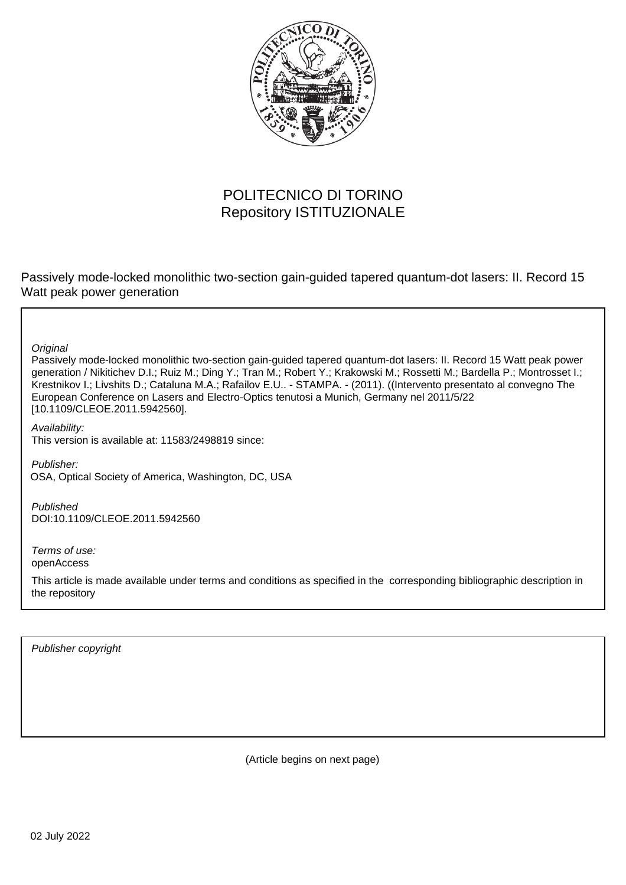

## POLITECNICO DI TORINO Repository ISTITUZIONALE

Passively mode-locked monolithic two-section gain-guided tapered quantum-dot lasers: II. Record 15 Watt peak power generation

**Original** 

Passively mode-locked monolithic two-section gain-guided tapered quantum-dot lasers: II. Record 15 Watt peak power generation / Nikitichev D.I.; Ruiz M.; Ding Y.; Tran M.; Robert Y.; Krakowski M.; Rossetti M.; Bardella P.; Montrosset I.; Krestnikov I.; Livshits D.; Cataluna M.A.; Rafailov E.U.. - STAMPA. - (2011). ((Intervento presentato al convegno The European Conference on Lasers and Electro-Optics tenutosi a Munich, Germany nel 2011/5/22 [10.1109/CLEOE.2011.5942560].

Availability:

This version is available at: 11583/2498819 since:

Publisher: OSA, Optical Society of America, Washington, DC, USA

Published DOI:10.1109/CLEOE.2011.5942560

Terms of use: openAccess

This article is made available under terms and conditions as specified in the corresponding bibliographic description in the repository

Publisher copyright

(Article begins on next page)